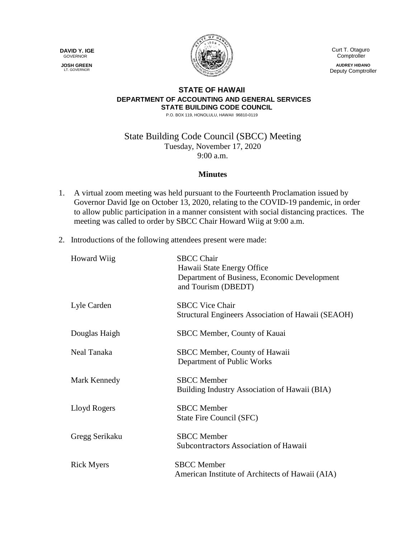**DAVID Y. IGE** GOVERNOR

 **JOSH GREEN** LT. GOVERNOR



 Curt T. Otaguro **Comptroller AUDREY HIDANO** Deputy Comptroller

## **STATE OF HAWAII DEPARTMENT OF ACCOUNTING AND GENERAL SERVICES STATE BUILDING CODE COUNCIL**

P.O. BOX 119, HONOLULU, HAWAII 96810-0119

## State Building Code Council (SBCC) Meeting Tuesday, November 17, 2020 9:00 a.m.

## **Minutes**

- 1. A virtual zoom meeting was held pursuant to the Fourteenth Proclamation issued by Governor David Ige on October 13, 2020, relating to the COVID-19 pandemic, in order to allow public participation in a manner consistent with social distancing practices. The meeting was called to order by SBCC Chair Howard Wiig at 9:00 a.m.
- 2. Introductions of the following attendees present were made:

| <b>Howard Wiig</b> | <b>SBCC Chair</b><br>Hawaii State Energy Office<br>Department of Business, Economic Development<br>and Tourism (DBEDT) |
|--------------------|------------------------------------------------------------------------------------------------------------------------|
| Lyle Carden        | <b>SBCC Vice Chair</b><br>Structural Engineers Association of Hawaii (SEAOH)                                           |
| Douglas Haigh      | SBCC Member, County of Kauai                                                                                           |
| Neal Tanaka        | SBCC Member, County of Hawaii<br>Department of Public Works                                                            |
| Mark Kennedy       | <b>SBCC</b> Member<br>Building Industry Association of Hawaii (BIA)                                                    |
| Lloyd Rogers       | <b>SBCC</b> Member<br>State Fire Council (SFC)                                                                         |
| Gregg Serikaku     | <b>SBCC</b> Member<br>Subcontractors Association of Hawaii                                                             |
| <b>Rick Myers</b>  | <b>SBCC</b> Member<br>American Institute of Architects of Hawaii (AIA)                                                 |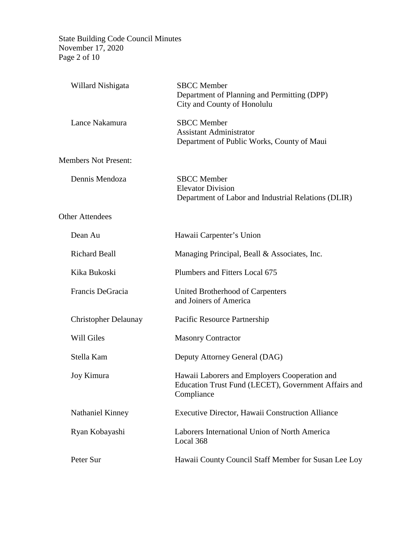State Building Code Council Minutes November 17, 2020 Page 2 of 10

| Willard Nishigata           | <b>SBCC</b> Member<br>Department of Planning and Permitting (DPP)<br>City and County of Honolulu                    |
|-----------------------------|---------------------------------------------------------------------------------------------------------------------|
| Lance Nakamura              | <b>SBCC</b> Member<br><b>Assistant Administrator</b><br>Department of Public Works, County of Maui                  |
| <b>Members Not Present:</b> |                                                                                                                     |
| Dennis Mendoza              | <b>SBCC</b> Member<br><b>Elevator Division</b><br>Department of Labor and Industrial Relations (DLIR)               |
| <b>Other Attendees</b>      |                                                                                                                     |
| Dean Au                     | Hawaii Carpenter's Union                                                                                            |
| <b>Richard Beall</b>        | Managing Principal, Beall & Associates, Inc.                                                                        |
| Kika Bukoski                | Plumbers and Fitters Local 675                                                                                      |
| Francis DeGracia            | United Brotherhood of Carpenters<br>and Joiners of America                                                          |
| <b>Christopher Delaunay</b> | Pacific Resource Partnership                                                                                        |
| Will Giles                  | <b>Masonry Contractor</b>                                                                                           |
| Stella Kam                  | Deputy Attorney General (DAG)                                                                                       |
| Joy Kimura                  | Hawaii Laborers and Employers Cooperation and<br>Education Trust Fund (LECET), Government Affairs and<br>Compliance |
| Nathaniel Kinney            | <b>Executive Director, Hawaii Construction Alliance</b>                                                             |
| Ryan Kobayashi              | Laborers International Union of North America<br>Local 368                                                          |
| Peter Sur                   | Hawaii County Council Staff Member for Susan Lee Loy                                                                |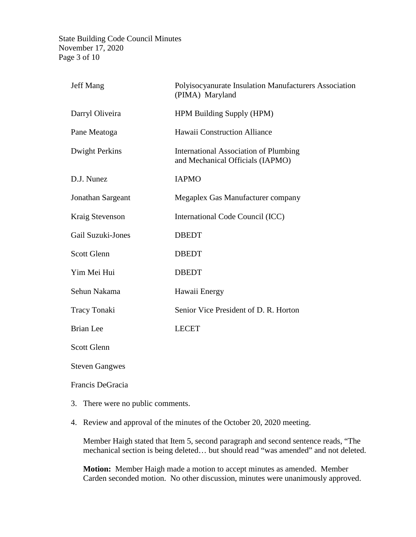State Building Code Council Minutes November 17, 2020 Page 3 of 10

| Polyisocyanurate Insulation Manufacturers Association<br>(PIMA) Maryland         |  |  |  |
|----------------------------------------------------------------------------------|--|--|--|
| <b>HPM Building Supply (HPM)</b>                                                 |  |  |  |
| Hawaii Construction Alliance                                                     |  |  |  |
| <b>International Association of Plumbing</b><br>and Mechanical Officials (IAPMO) |  |  |  |
| <b>IAPMO</b>                                                                     |  |  |  |
| Megaplex Gas Manufacturer company                                                |  |  |  |
| International Code Council (ICC)                                                 |  |  |  |
| <b>DBEDT</b>                                                                     |  |  |  |
| <b>DBEDT</b>                                                                     |  |  |  |
| <b>DBEDT</b>                                                                     |  |  |  |
| Hawaii Energy                                                                    |  |  |  |
| Senior Vice President of D. R. Horton                                            |  |  |  |
| <b>LECET</b>                                                                     |  |  |  |
| <b>Scott Glenn</b>                                                               |  |  |  |
| <b>Steven Gangwes</b>                                                            |  |  |  |
|                                                                                  |  |  |  |

## Francis DeGracia

- 3. There were no public comments.
- 4. Review and approval of the minutes of the October 20, 2020 meeting.

Member Haigh stated that Item 5, second paragraph and second sentence reads, "The mechanical section is being deleted… but should read "was amended" and not deleted.

**Motion:** Member Haigh made a motion to accept minutes as amended. Member Carden seconded motion. No other discussion, minutes were unanimously approved.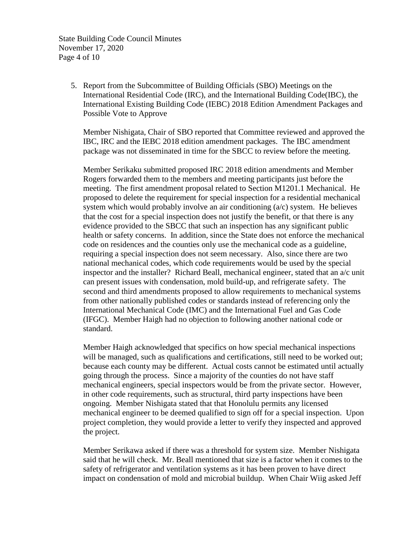State Building Code Council Minutes November 17, 2020 Page 4 of 10

> 5. Report from the Subcommittee of Building Officials (SBO) Meetings on the International Residential Code (IRC), and the International Building Code(IBC), the International Existing Building Code (IEBC) 2018 Edition Amendment Packages and Possible Vote to Approve

Member Nishigata, Chair of SBO reported that Committee reviewed and approved the IBC, IRC and the IEBC 2018 edition amendment packages. The IBC amendment package was not disseminated in time for the SBCC to review before the meeting.

Member Serikaku submitted proposed IRC 2018 edition amendments and Member Rogers forwarded them to the members and meeting participants just before the meeting. The first amendment proposal related to Section M1201.1 Mechanical. He proposed to delete the requirement for special inspection for a residential mechanical system which would probably involve an air conditioning  $(a/c)$  system. He believes that the cost for a special inspection does not justify the benefit, or that there is any evidence provided to the SBCC that such an inspection has any significant public health or safety concerns. In addition, since the State does not enforce the mechanical code on residences and the counties only use the mechanical code as a guideline, requiring a special inspection does not seem necessary. Also, since there are two national mechanical codes, which code requirements would be used by the special inspector and the installer? Richard Beall, mechanical engineer, stated that an a/c unit can present issues with condensation, mold build-up, and refrigerate safety. The second and third amendments proposed to allow requirements to mechanical systems from other nationally published codes or standards instead of referencing only the International Mechanical Code (IMC) and the International Fuel and Gas Code (IFGC). Member Haigh had no objection to following another national code or standard.

Member Haigh acknowledged that specifics on how special mechanical inspections will be managed, such as qualifications and certifications, still need to be worked out; because each county may be different. Actual costs cannot be estimated until actually going through the process. Since a majority of the counties do not have staff mechanical engineers, special inspectors would be from the private sector. However, in other code requirements, such as structural, third party inspections have been ongoing. Member Nishigata stated that that Honolulu permits any licensed mechanical engineer to be deemed qualified to sign off for a special inspection. Upon project completion, they would provide a letter to verify they inspected and approved the project.

Member Serikawa asked if there was a threshold for system size. Member Nishigata said that he will check. Mr. Beall mentioned that size is a factor when it comes to the safety of refrigerator and ventilation systems as it has been proven to have direct impact on condensation of mold and microbial buildup. When Chair Wiig asked Jeff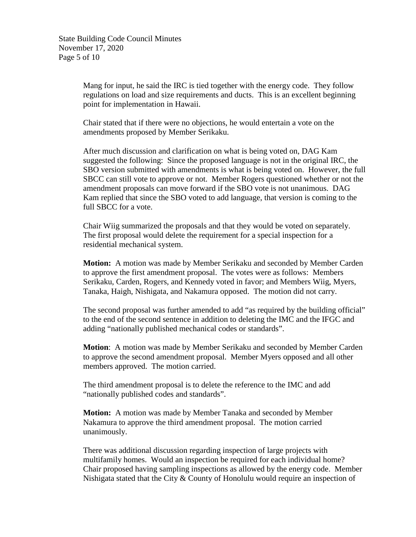State Building Code Council Minutes November 17, 2020 Page 5 of 10

> Mang for input, he said the IRC is tied together with the energy code. They follow regulations on load and size requirements and ducts. This is an excellent beginning point for implementation in Hawaii.

Chair stated that if there were no objections, he would entertain a vote on the amendments proposed by Member Serikaku.

After much discussion and clarification on what is being voted on, DAG Kam suggested the following: Since the proposed language is not in the original IRC, the SBO version submitted with amendments is what is being voted on. However, the full SBCC can still vote to approve or not. Member Rogers questioned whether or not the amendment proposals can move forward if the SBO vote is not unanimous. DAG Kam replied that since the SBO voted to add language, that version is coming to the full SBCC for a vote.

Chair Wiig summarized the proposals and that they would be voted on separately. The first proposal would delete the requirement for a special inspection for a residential mechanical system.

**Motion:** A motion was made by Member Serikaku and seconded by Member Carden to approve the first amendment proposal. The votes were as follows: Members Serikaku, Carden, Rogers, and Kennedy voted in favor; and Members Wiig, Myers, Tanaka, Haigh, Nishigata, and Nakamura opposed. The motion did not carry.

The second proposal was further amended to add "as required by the building official" to the end of the second sentence in addition to deleting the IMC and the IFGC and adding "nationally published mechanical codes or standards".

**Motion**: A motion was made by Member Serikaku and seconded by Member Carden to approve the second amendment proposal. Member Myers opposed and all other members approved. The motion carried.

The third amendment proposal is to delete the reference to the IMC and add "nationally published codes and standards".

**Motion:** A motion was made by Member Tanaka and seconded by Member Nakamura to approve the third amendment proposal. The motion carried unanimously.

There was additional discussion regarding inspection of large projects with multifamily homes. Would an inspection be required for each individual home? Chair proposed having sampling inspections as allowed by the energy code. Member Nishigata stated that the City & County of Honolulu would require an inspection of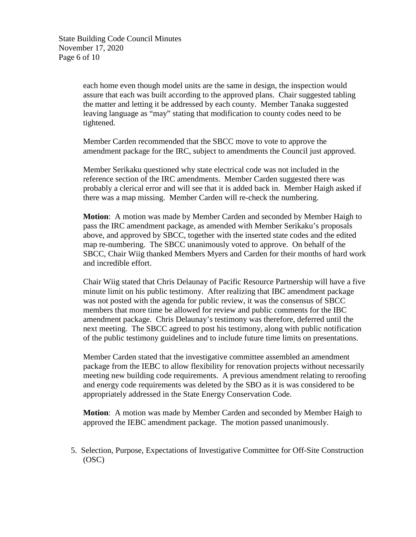State Building Code Council Minutes November 17, 2020 Page 6 of 10

> each home even though model units are the same in design, the inspection would assure that each was built according to the approved plans. Chair suggested tabling the matter and letting it be addressed by each county. Member Tanaka suggested leaving language as "may" stating that modification to county codes need to be tightened.

> Member Carden recommended that the SBCC move to vote to approve the amendment package for the IRC, subject to amendments the Council just approved.

Member Serikaku questioned why state electrical code was not included in the reference section of the IRC amendments. Member Carden suggested there was probably a clerical error and will see that it is added back in. Member Haigh asked if there was a map missing. Member Carden will re-check the numbering.

**Motion**: A motion was made by Member Carden and seconded by Member Haigh to pass the IRC amendment package, as amended with Member Serikaku's proposals above, and approved by SBCC, together with the inserted state codes and the edited map re-numbering. The SBCC unanimously voted to approve. On behalf of the SBCC, Chair Wiig thanked Members Myers and Carden for their months of hard work and incredible effort.

Chair Wiig stated that Chris Delaunay of Pacific Resource Partnership will have a five minute limit on his public testimony. After realizing that IBC amendment package was not posted with the agenda for public review, it was the consensus of SBCC members that more time be allowed for review and public comments for the IBC amendment package. Chris Delaunay's testimony was therefore, deferred until the next meeting. The SBCC agreed to post his testimony, along with public notification of the public testimony guidelines and to include future time limits on presentations.

Member Carden stated that the investigative committee assembled an amendment package from the IEBC to allow flexibility for renovation projects without necessarily meeting new building code requirements. A previous amendment relating to reroofing and energy code requirements was deleted by the SBO as it is was considered to be appropriately addressed in the State Energy Conservation Code.

**Motion**: A motion was made by Member Carden and seconded by Member Haigh to approved the IEBC amendment package. The motion passed unanimously.

5. Selection, Purpose, Expectations of Investigative Committee for Off-Site Construction (OSC)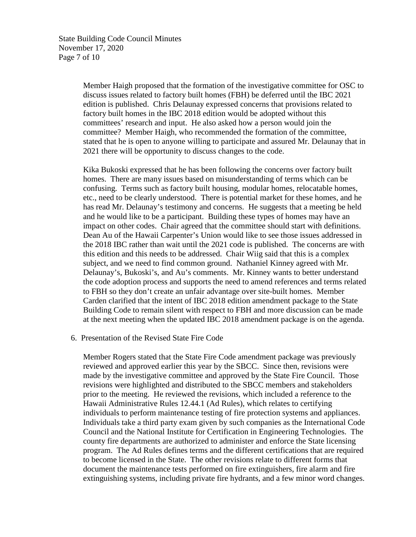State Building Code Council Minutes November 17, 2020 Page 7 of 10

> Member Haigh proposed that the formation of the investigative committee for OSC to discuss issues related to factory built homes (FBH) be deferred until the IBC 2021 edition is published. Chris Delaunay expressed concerns that provisions related to factory built homes in the IBC 2018 edition would be adopted without this committees' research and input. He also asked how a person would join the committee? Member Haigh, who recommended the formation of the committee, stated that he is open to anyone willing to participate and assured Mr. Delaunay that in 2021 there will be opportunity to discuss changes to the code.

> Kika Bukoski expressed that he has been following the concerns over factory built homes. There are many issues based on misunderstanding of terms which can be confusing. Terms such as factory built housing, modular homes, relocatable homes, etc., need to be clearly understood. There is potential market for these homes, and he has read Mr. Delaunay's testimony and concerns. He suggests that a meeting be held and he would like to be a participant. Building these types of homes may have an impact on other codes. Chair agreed that the committee should start with definitions. Dean Au of the Hawaii Carpenter's Union would like to see those issues addressed in the 2018 IBC rather than wait until the 2021 code is published. The concerns are with this edition and this needs to be addressed. Chair Wiig said that this is a complex subject, and we need to find common ground. Nathaniel Kinney agreed with Mr. Delaunay's, Bukoski's, and Au's comments. Mr. Kinney wants to better understand the code adoption process and supports the need to amend references and terms related to FBH so they don't create an unfair advantage over site-built homes. Member Carden clarified that the intent of IBC 2018 edition amendment package to the State Building Code to remain silent with respect to FBH and more discussion can be made at the next meeting when the updated IBC 2018 amendment package is on the agenda.

6. Presentation of the Revised State Fire Code

Member Rogers stated that the State Fire Code amendment package was previously reviewed and approved earlier this year by the SBCC. Since then, revisions were made by the investigative committee and approved by the State Fire Council. Those revisions were highlighted and distributed to the SBCC members and stakeholders prior to the meeting. He reviewed the revisions, which included a reference to the Hawaii Administrative Rules 12.44.1 (Ad Rules), which relates to certifying individuals to perform maintenance testing of fire protection systems and appliances. Individuals take a third party exam given by such companies as the International Code Council and the National Institute for Certification in Engineering Technologies. The county fire departments are authorized to administer and enforce the State licensing program. The Ad Rules defines terms and the different certifications that are required to become licensed in the State. The other revisions relate to different forms that document the maintenance tests performed on fire extinguishers, fire alarm and fire extinguishing systems, including private fire hydrants, and a few minor word changes.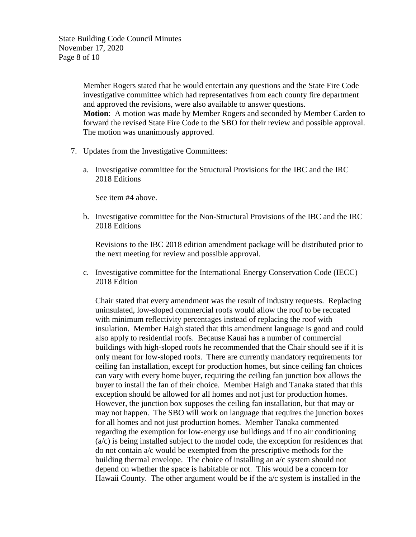State Building Code Council Minutes November 17, 2020 Page 8 of 10

> Member Rogers stated that he would entertain any questions and the State Fire Code investigative committee which had representatives from each county fire department and approved the revisions, were also available to answer questions. **Motion**: A motion was made by Member Rogers and seconded by Member Carden to forward the revised State Fire Code to the SBO for their review and possible approval. The motion was unanimously approved.

- 7. Updates from the Investigative Committees:
	- a. Investigative committee for the Structural Provisions for the IBC and the IRC 2018 Editions

See item #4 above.

b. Investigative committee for the Non-Structural Provisions of the IBC and the IRC 2018 Editions

Revisions to the IBC 2018 edition amendment package will be distributed prior to the next meeting for review and possible approval.

c. Investigative committee for the International Energy Conservation Code (IECC) 2018 Edition

Chair stated that every amendment was the result of industry requests. Replacing uninsulated, low-sloped commercial roofs would allow the roof to be recoated with minimum reflectivity percentages instead of replacing the roof with insulation. Member Haigh stated that this amendment language is good and could also apply to residential roofs. Because Kauai has a number of commercial buildings with high-sloped roofs he recommended that the Chair should see if it is only meant for low-sloped roofs. There are currently mandatory requirements for ceiling fan installation, except for production homes, but since ceiling fan choices can vary with every home buyer, requiring the ceiling fan junction box allows the buyer to install the fan of their choice. Member Haigh and Tanaka stated that this exception should be allowed for all homes and not just for production homes. However, the junction box supposes the ceiling fan installation, but that may or may not happen. The SBO will work on language that requires the junction boxes for all homes and not just production homes. Member Tanaka commented regarding the exemption for low-energy use buildings and if no air conditioning (a/c) is being installed subject to the model code, the exception for residences that do not contain a/c would be exempted from the prescriptive methods for the building thermal envelope. The choice of installing an a/c system should not depend on whether the space is habitable or not. This would be a concern for Hawaii County. The other argument would be if the a/c system is installed in the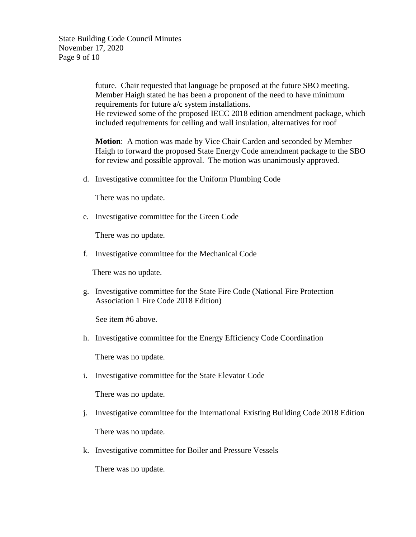State Building Code Council Minutes November 17, 2020 Page 9 of 10

> future. Chair requested that language be proposed at the future SBO meeting. Member Haigh stated he has been a proponent of the need to have minimum requirements for future a/c system installations. He reviewed some of the proposed IECC 2018 edition amendment package, which included requirements for ceiling and wall insulation, alternatives for roof

> **Motion**: A motion was made by Vice Chair Carden and seconded by Member Haigh to forward the proposed State Energy Code amendment package to the SBO for review and possible approval. The motion was unanimously approved.

d. Investigative committee for the Uniform Plumbing Code

There was no update.

e. Investigative committee for the Green Code

There was no update.

f. Investigative committee for the Mechanical Code

There was no update.

g. Investigative committee for the State Fire Code (National Fire Protection Association 1 Fire Code 2018 Edition)

See item #6 above.

h. Investigative committee for the Energy Efficiency Code Coordination

There was no update.

i. Investigative committee for the State Elevator Code

There was no update.

- j. Investigative committee for the International Existing Building Code 2018 Edition There was no update.
- k. Investigative committee for Boiler and Pressure Vessels

There was no update.